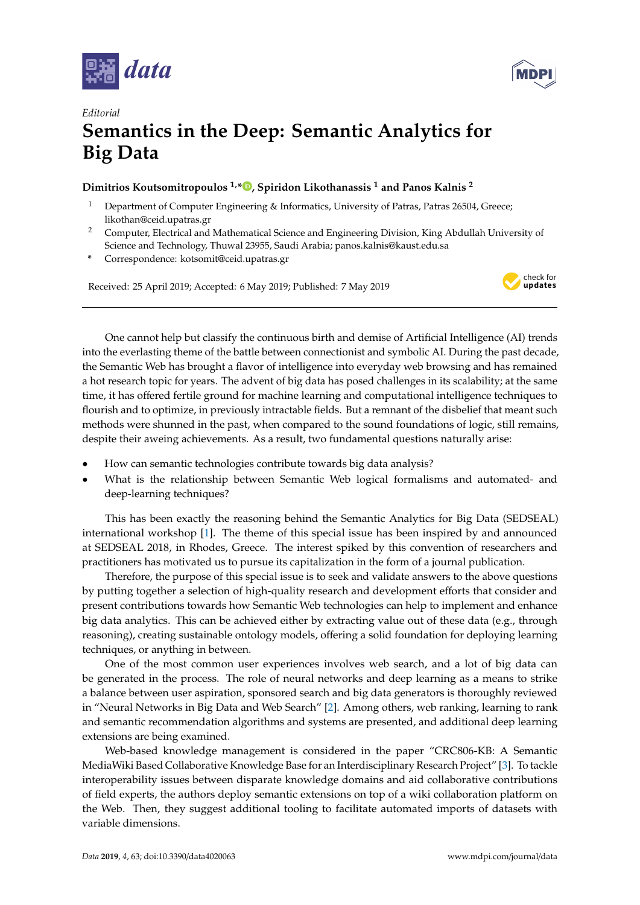



## *Editorial* **Semantics in the Deep: Semantic Analytics for Big Data**

## **Dimitrios Koutsomitropoulos 1,\* [,](https://orcid.org/0000-0003-4847-0100) Spiridon Likothanassis <sup>1</sup> and Panos Kalnis <sup>2</sup>**

- <sup>1</sup> Department of Computer Engineering & Informatics, University of Patras, Patras 26504, Greece; likothan@ceid.upatras.gr
- <sup>2</sup> Computer, Electrical and Mathematical Science and Engineering Division, King Abdullah University of Science and Technology, Thuwal 23955, Saudi Arabia; panos.kalnis@kaust.edu.sa
- **\*** Correspondence: kotsomit@ceid.upatras.gr

Received: 25 April 2019; Accepted: 6 May 2019; Published: 7 May 2019



One cannot help but classify the continuous birth and demise of Artificial Intelligence (AI) trends into the everlasting theme of the battle between connectionist and symbolic AI. During the past decade, the Semantic Web has brought a flavor of intelligence into everyday web browsing and has remained a hot research topic for years. The advent of big data has posed challenges in its scalability; at the same time, it has offered fertile ground for machine learning and computational intelligence techniques to flourish and to optimize, in previously intractable fields. But a remnant of the disbelief that meant such methods were shunned in the past, when compared to the sound foundations of logic, still remains, despite their aweing achievements. As a result, two fundamental questions naturally arise:

- How can semantic technologies contribute towards big data analysis?
- What is the relationship between Semantic Web logical formalisms and automated- and deep-learning techniques?

This has been exactly the reasoning behind the Semantic Analytics for Big Data (SEDSEAL) international workshop [\[1\]](#page-1-0). The theme of this special issue has been inspired by and announced at SEDSEAL 2018, in Rhodes, Greece. The interest spiked by this convention of researchers and practitioners has motivated us to pursue its capitalization in the form of a journal publication.

Therefore, the purpose of this special issue is to seek and validate answers to the above questions by putting together a selection of high-quality research and development efforts that consider and present contributions towards how Semantic Web technologies can help to implement and enhance big data analytics. This can be achieved either by extracting value out of these data (e.g., through reasoning), creating sustainable ontology models, offering a solid foundation for deploying learning techniques, or anything in between.

One of the most common user experiences involves web search, and a lot of big data can be generated in the process. The role of neural networks and deep learning as a means to strike a balance between user aspiration, sponsored search and big data generators is thoroughly reviewed in "Neural Networks in Big Data and Web Search" [\[2\]](#page-1-1). Among others, web ranking, learning to rank and semantic recommendation algorithms and systems are presented, and additional deep learning extensions are being examined.

Web-based knowledge management is considered in the paper "CRC806-KB: A Semantic MediaWiki Based Collaborative Knowledge Base for an Interdisciplinary Research Project" [\[3\]](#page-1-2). To tackle interoperability issues between disparate knowledge domains and aid collaborative contributions of field experts, the authors deploy semantic extensions on top of a wiki collaboration platform on the Web. Then, they suggest additional tooling to facilitate automated imports of datasets with variable dimensions.